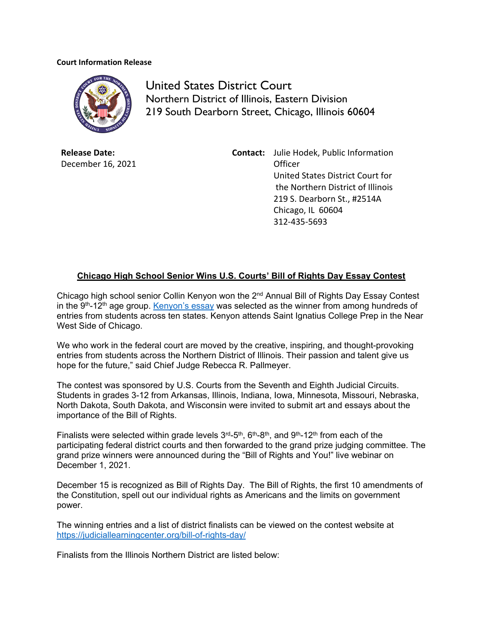## **Court Information Release**



United States District Court Northern District of Illinois, Eastern Division 219 South Dearborn Street, Chicago, Illinois 60604

**Release Date:** December 16, 2021 **Contact:** Julie Hodek, Public Information **Officer** United States District Court for the Northern District of Illinois 219 S. Dearborn St., #2514A Chicago, IL 60604 312‐435‐5693

## **Chicago High School Senior Wins U.S. Courts' Bill of Rights Day Essay Contest**

Chicago high school senior Collin Kenyon won the 2<sup>nd</sup> Annual Bill of Rights Day Essay Contest in the  $9<sup>th</sup>$ -12<sup>th</sup> age group. [Kenyon's essay](https://www.ilnd.uscourts.gov/_assets/_news/Essay%209-12%20Collin%20Kenyon.pdf) was selected as the winner from among hundreds of entries from students across ten states. Kenyon attends Saint Ignatius College Prep in the Near West Side of Chicago.

We who work in the federal court are moved by the creative, inspiring, and thought-provoking entries from students across the Northern District of Illinois. Their passion and talent give us hope for the future," said Chief Judge Rebecca R. Pallmeyer.

The contest was sponsored by U.S. Courts from the Seventh and Eighth Judicial Circuits. Students in grades 3-12 from Arkansas, Illinois, Indiana, Iowa, Minnesota, Missouri, Nebraska, North Dakota, South Dakota, and Wisconsin were invited to submit art and essays about the importance of the Bill of Rights.

Finalists were selected within grade levels  $3^{rd}$ -5<sup>th</sup>,  $6^{th}$ -8<sup>th</sup>, and  $9^{th}$ -12<sup>th</sup> from each of the participating federal district courts and then forwarded to the grand prize judging committee. The grand prize winners were announced during the "Bill of Rights and You!" live webinar on December 1, 2021.

December 15 is recognized as Bill of Rights Day. The Bill of Rights, the first 10 amendments of the Constitution, spell out our individual rights as Americans and the limits on government power.

The winning entries and a list of district finalists can be viewed on the contest website at https://judiciallearningcenter.org/bill-of-rights-day/

Finalists from the Illinois Northern District are listed below: